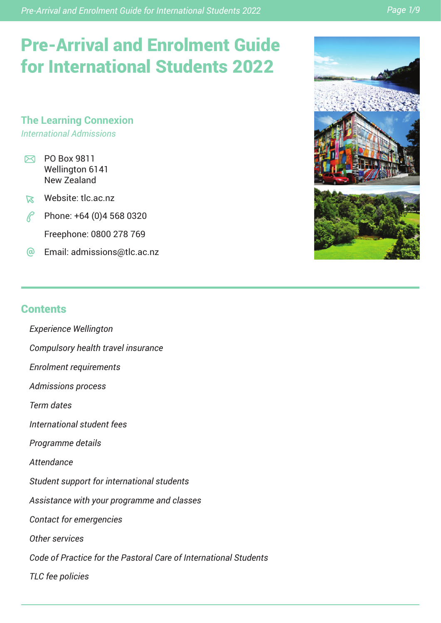*Pre-Arrival and Enrolment Guide for International Students 2022 Page 1/9*

# Pre-Arrival and Enrolment Guide for International Students 2022

**The Learning Connexion** *International Admissions*

- $\boxtimes$  PO Box 9811 Wellington 6141 New Zealand
- Website: tlc.ac.nz
- $\mathcal{P}$  Phone: +64 (0)4 568 0320 Freephone: 0800 278 769
- Email: admissions@tlc.ac.nz



# **Contents**

- *Experience Wellington*
- *Compulsory health travel insurance*
- *Enrolment requirements*
- *Admissions process*

*Term dates*

- *International student fees*
- *Programme details*

*Attendance*

- *Student support for international students*
- *Assistance with your programme and classes*
- *Contact for emergencies*
- *Other services*
- *Code of Practice for the Pastoral Care of International Students*

*TLC fee policies*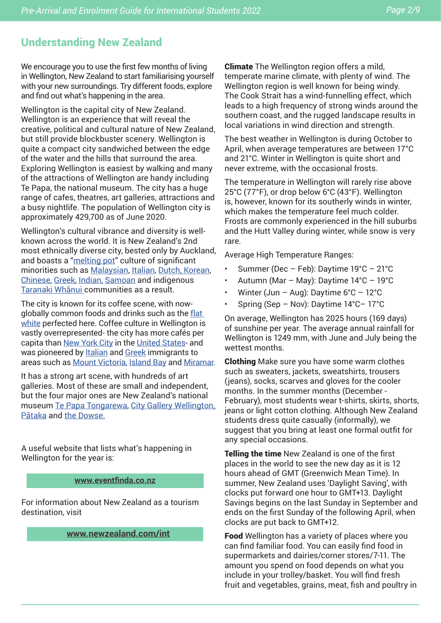# Understanding New Zealand

We encourage you to use the first few months of living in Wellington, New Zealand to start familiarising yourself with your new surroundings. Try different foods, explore and find out what's happening in the area.

Wellington is the capital city of New Zealand. Wellington is an experience that will reveal the creative, political and cultural nature of New Zealand, but still provide blockbuster scenery. Wellington is quite a compact city sandwiched between the edge of the water and the hills that surround the area. Exploring Wellington is easiest by walking and many of the attractions of Wellington are handy including Te Papa, the national museum. The city has a huge range of cafes, theatres, art galleries, attractions and a busy nightlife. The population of Wellington city is approximately 429,700 as of June 2020.

Wellington's cultural vibrance and diversity is wellknown across the world. It is New Zealand's 2nd most ethnically diverse city, bested only by Auckland, and boasts a "melting pot" culture of significant minorities such as Malaysian, Italian, Dutch, Korean, Chinese, Greek, Indian, Samoan and indigenous Taranaki Whānui communities as a result.

The city is known for its coffee scene, with nowglobally common foods and drinks such as the flat white perfected here. Coffee culture in Wellington is vastly overrepresented- the city has more cafés per capita than New York City in the United States- and was pioneered by Italian and Greek immigrants to areas such as Mount Victoria, Island Bay and Miramar.

It has a strong art scene, with hundreds of art galleries. Most of these are small and independent, but the four major ones are New Zealand's national museum Te Papa Tongarewa, City Gallery Wellington, Pātaka and the Dowse.

A useful website that lists what's happening in Wellington for the year is:

#### **www.eventfinda.co.nz**

For information about New Zealand as a tourism destination, visit

**www.newzealand.com/int**

**Climate** The Wellington region offers a mild, temperate marine climate, with plenty of wind. The Wellington region is well known for being windy. The Cook Strait has a wind-funnelling effect, which leads to a high frequency of strong winds around the southern coast, and the rugged landscape results in local variations in wind direction and strength.

The best weather in Wellington is during October to April, when average temperatures are between 17°C and 21°C. Winter in Wellington is quite short and never extreme, with the occasional frosts.

The temperature in Wellington will rarely rise above 25°C (77°F), or drop below 6°C (43°F). Wellington is, however, known for its southerly winds in winter, which makes the temperature feel much colder. Frosts are commonly experienced in the hill suburbs and the Hutt Valley during winter, while snow is very rare.

Average High Temperature Ranges:

- Summer (Dec Feb): Daytime 19°C 21°C
- Autumn (Mar May): Daytime  $14^{\circ}$ C 19 $^{\circ}$ C
- Winter (Jun Aug): Daytime  $6^{\circ}$ C 12 $^{\circ}$ C
- Spring (Sep Nov): Daytime 14°C– 17°C

On average, Wellington has 2025 hours (169 days) of sunshine per year. The average annual rainfall for Wellington is 1249 mm, with June and July being the wettest months.

Clothing Make sure you have some warm clothes such as sweaters, jackets, sweatshirts, trousers (jeans), socks, scarves and gloves for the cooler months. In the summer months (December - February), most students wear t-shirts, skirts, shorts, jeans or light cotton clothing. Although New Zealand students dress quite casually (informally), we suggest that you bring at least one formal outfit for any special occasions.

**Telling the time** New Zealand is one of the first places in the world to see the new day as it is 12 hours ahead of GMT (Greenwich Mean Time). In summer, New Zealand uses 'Daylight Saving', with clocks put forward one hour to GMT+13. Daylight Savings begins on the last Sunday in September and ends on the first Sunday of the following April, when clocks are put back to GMT+12.

Food Wellington has a variety of places where you can find familiar food. You can easily find food in supermarkets and dairies/corner stores/7-11. The amount you spend on food depends on what you include in your trolley/basket. You will find fresh fruit and vegetables, grains, meat, fish and poultry in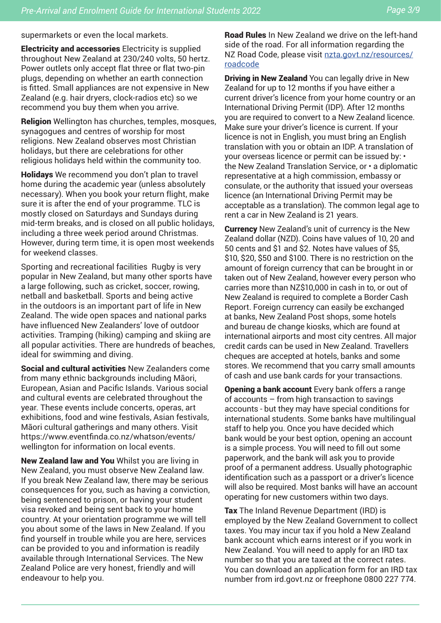supermarkets or even the local markets.

Electricity and accessories Electricity is supplied throughout New Zealand at 230/240 volts, 50 hertz. Power outlets only accept flat three or flat two-pin plugs, depending on whether an earth connection is fitted. Small appliances are not expensive in New Zealand (e.g. hair dryers, clock-radios etc) so we recommend you buy them when you arrive.

Religion Wellington has churches, temples, mosques, synagogues and centres of worship for most religions. New Zealand observes most Christian holidays, but there are celebrations for other religious holidays held within the community too.

Holidays We recommend you don't plan to travel home during the academic year (unless absolutely necessary). When you book your return flight, make sure it is after the end of your programme. TLC is mostly closed on Saturdays and Sundays during mid-term breaks, and is closed on all public holidays, including a three week period around Christmas. However, during term time, it is open most weekends for weekend classes.

Sporting and recreational facilities Rugby is very popular in New Zealand, but many other sports have a large following, such as cricket, soccer, rowing, netball and basketball. Sports and being active in the outdoors is an important part of life in New Zealand. The wide open spaces and national parks have influenced New Zealanders' love of outdoor activities. Tramping (hiking) camping and skiing are all popular activities. There are hundreds of beaches, ideal for swimming and diving.

Social and cultural activities New Zealanders come from many ethnic backgrounds including Māori, European, Asian and Pacific Islands. Various social and cultural events are celebrated throughout the year. These events include concerts, operas, art exhibitions, food and wine festivals, Asian festivals, Māori cultural gatherings and many others. Visit https://www.eventfinda.co.nz/whatson/events/ wellington for information on local events.

New Zealand law and You Whilst you are living in New Zealand, you must observe New Zealand law. If you break New Zealand law, there may be serious consequences for you, such as having a conviction, being sentenced to prison, or having your student visa revoked and being sent back to your home country. At your orientation programme we will tell you about some of the laws in New Zealand. If you find yourself in trouble while you are here, services can be provided to you and information is readily available through International Services. The New Zealand Police are very honest, friendly and will endeavour to help you.

Road Rules In New Zealand we drive on the left-hand side of the road. For all information regarding the NZ Road Code, please visit nzta.govt.nz/resources/ roadcode

**Driving in New Zealand** You can legally drive in New Zealand for up to 12 months if you have either a current driver's licence from your home country or an International Driving Permit (IDP). After 12 months you are required to convert to a New Zealand licence. Make sure your driver's licence is current. If your licence is not in English, you must bring an English translation with you or obtain an IDP. A translation of your overseas licence or permit can be issued by: • the New Zealand Translation Service, or • a diplomatic representative at a high commission, embassy or consulate, or the authority that issued your overseas licence (an International Driving Permit may be acceptable as a translation). The common legal age to rent a car in New Zealand is 21 years.

Currency New Zealand's unit of currency is the New Zealand dollar (NZD). Coins have values of 10, 20 and 50 cents and \$1 and \$2. Notes have values of \$5, \$10, \$20, \$50 and \$100. There is no restriction on the amount of foreign currency that can be brought in or taken out of New Zealand, however every person who carries more than NZ\$10,000 in cash in to, or out of New Zealand is required to complete a Border Cash Report. Foreign currency can easily be exchanged at banks, New Zealand Post shops, some hotels and bureau de change kiosks, which are found at international airports and most city centres. All major credit cards can be used in New Zealand. Travellers cheques are accepted at hotels, banks and some stores. We recommend that you carry small amounts of cash and use bank cards for your transactions.

Opening a bank account Every bank offers a range of accounts – from high transaction to savings accounts - but they may have special conditions for international students. Some banks have multilingual staff to help you. Once you have decided which bank would be your best option, opening an account is a simple process. You will need to fill out some paperwork, and the bank will ask you to provide proof of a permanent address. Usually photographic identification such as a passport or a driver's licence will also be required. Most banks will have an account operating for new customers within two days.

**Tax** The Inland Revenue Department (IRD) is employed by the New Zealand Government to collect taxes. You may incur tax if you hold a New Zealand bank account which earns interest or if you work in New Zealand. You will need to apply for an IRD tax number so that you are taxed at the correct rates. You can download an application form for an IRD tax number from ird.govt.nz or freephone 0800 227 774.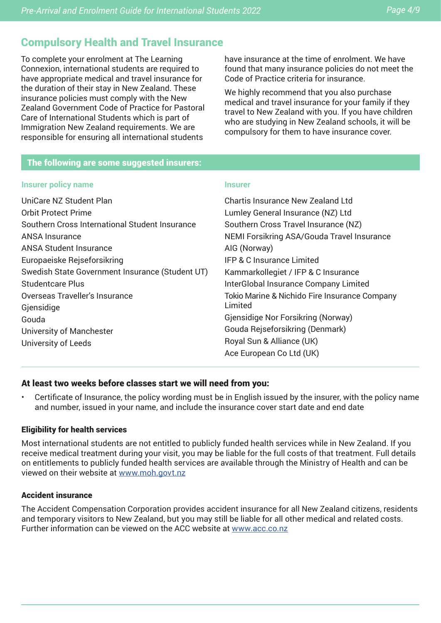# Compulsory Health and Travel Insurance

To complete your enrolment at The Learning Connexion, international students are required to have appropriate medical and travel insurance for the duration of their stay in New Zealand. These insurance policies must comply with the New Zealand Government Code of Practice for Pastoral Care of International Students which is part of Immigration New Zealand requirements. We are responsible for ensuring all international students

have insurance at the time of enrolment. We have found that many insurance policies do not meet the Code of Practice criteria for insurance.

We highly recommend that you also purchase medical and travel insurance for your family if they travel to New Zealand with you. If you have children who are studying in New Zealand schools, it will be compulsory for them to have insurance cover.

#### The following are some suggested insurers:

#### **Insurer policy name**

UniCare NZ Student Plan Orbit Protect Prime Southern Cross International Student Insurance ANSA Insurance ANSA Student Insurance Europaeiske Rejseforsikring Swedish State Government Insurance (Student UT) Studentcare Plus

Overseas Traveller's Insurance **Giensidige** 

Gouda University of Manchester University of Leeds

# **Insurer**

Chartis Insurance New Zealand Ltd Lumley General Insurance (NZ) Ltd Southern Cross Travel Insurance (NZ) NEMI Forsikring ASA/Gouda Travel Insurance AIG (Norway) IFP & C Insurance Limited Kammarkollegiet / IFP & C Insurance InterGlobal Insurance Company Limited Tokio Marine & Nichido Fire Insurance Company Limited Gjensidige Nor Forsikring (Norway) Gouda Rejseforsikring (Denmark) Royal Sun & Alliance (UK) Ace European Co Ltd (UK)

#### At least two weeks before classes start we will need from you:

• Certificate of Insurance, the policy wording must be in English issued by the insurer, with the policy name and number, issued in your name, and include the insurance cover start date and end date

#### Eligibility for health services

Most international students are not entitled to publicly funded health services while in New Zealand. If you receive medical treatment during your visit, you may be liable for the full costs of that treatment. Full details on entitlements to publicly funded health services are available through the Ministry of Health and can be viewed on their website at www.moh.govt.nz

#### Accident insurance

The Accident Compensation Corporation provides accident insurance for all New Zealand citizens, residents and temporary visitors to New Zealand, but you may still be liable for all other medical and related costs. Further information can be viewed on the ACC website at www.acc.co.nz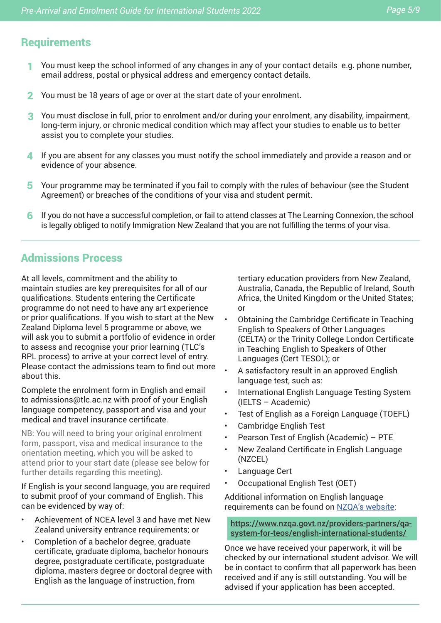# **Requirements**

- You must keep the school informed of any changes in any of your contact details e.g. phone number, email address, postal or physical address and emergency contact details. 1
- 2 You must be 18 years of age or over at the start date of your enrolment.
- You must disclose in full, prior to enrolment and/or during your enrolment, any disability, impairment, 3 long-term injury, or chronic medical condition which may affect your studies to enable us to better assist you to complete your studies.
- $\blacktriangleleft\;$  If you are absent for any classes you must notify the school immediately and provide a reason and or evidence of your absence.
- 5 Your programme may be terminated if you fail to comply with the rules of behaviour (see the Student Agreement) or breaches of the conditions of your visa and student permit.
- If you do not have a successful completion, or fail to attend classes at The Learning Connexion, the school is legally obliged to notify Immigration New Zealand that you are not fulfilling the terms of your visa. 6

# Admissions Process

At all levels, commitment and the ability to maintain studies are key prerequisites for all of our qualifications. Students entering the Certificate programme do not need to have any art experience or prior qualifications. If you wish to start at the New Zealand Diploma level 5 programme or above, we will ask you to submit a portfolio of evidence in order to assess and recognise your prior learning (TLC's RPL process) to arrive at your correct level of entry. Please contact the admissions team to find out more about this.

Complete the enrolment form in English and email to admissions@tlc.ac.nz with proof of your English language competency, passport and visa and your medical and travel insurance certificate.

NB: You will need to bring your original enrolment form, passport, visa and medical insurance to the orientation meeting, which you will be asked to attend prior to your start date (please see below for further details regarding this meeting).

If English is your second language, you are required to submit proof of your command of English. This can be evidenced by way of:

- Achievement of NCEA level 3 and have met New Zealand university entrance requirements; or
- Completion of a bachelor degree, graduate certificate, graduate diploma, bachelor honours degree, postgraduate certificate, postgraduate diploma, masters degree or doctoral degree with English as the language of instruction, from

tertiary education providers from New Zealand, Australia, Canada, the Republic of Ireland, South Africa, the United Kingdom or the United States; or

- Obtaining the Cambridge Certificate in Teaching English to Speakers of Other Languages (CELTA) or the Trinity College London Certificate in Teaching English to Speakers of Other Languages (Cert TESOL); or
- A satisfactory result in an approved English language test, such as:
- International English Language Testing System (IELTS – Academic)
- Test of English as a Foreign Language (TOEFL)
- Cambridge English Test
- Pearson Test of English (Academic) PTE
- New Zealand Certificate in English Language (NZCEL)
- Language Cert
- Occupational English Test (OET)

Additional information on English language requirements can be found on NZQA's website:

https://www.nzqa.govt.nz/providers-partners/qasystem-for-teos/english-international-students/

Once we have received your paperwork, it will be checked by our international student advisor. We will be in contact to confirm that all paperwork has been received and if any is still outstanding. You will be advised if your application has been accepted.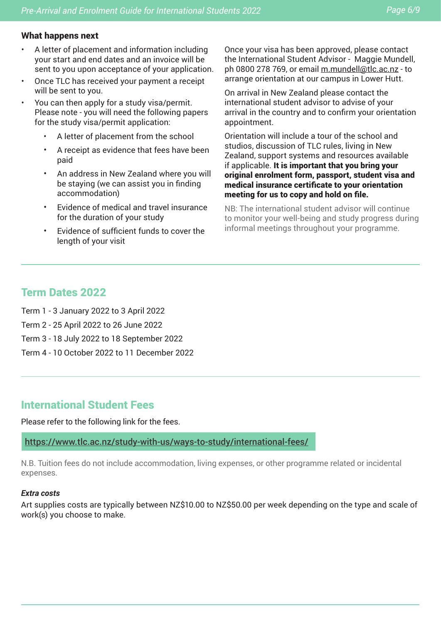#### What happens next

- A letter of placement and information including your start and end dates and an invoice will be sent to you upon acceptance of your application.
- Once TLC has received your payment a receipt will be sent to you.
- You can then apply for a study visa/permit. Please note - you will need the following papers for the study visa/permit application:
	- A letter of placement from the school
	- A receipt as evidence that fees have been paid
	- An address in New Zealand where you will be staying (we can assist you in finding accommodation)
	- Evidence of medical and travel insurance for the duration of your study
	- Evidence of sufficient funds to cover the length of your visit

Once your visa has been approved, please contact the International Student Advisor - Maggie Mundell, ph 0800 278 769, or email m.mundell@tlc.ac.nz - to arrange orientation at our campus in Lower Hutt.

On arrival in New Zealand please contact the international student advisor to advise of your arrival in the country and to confirm your orientation appointment.

Orientation will include a tour of the school and studios, discussion of TLC rules, living in New Zealand, support systems and resources available if applicable. It is important that you bring your original enrolment form, passport, student visa and medical insurance certificate to your orientation meeting for us to copy and hold on file.

NB: The international student advisor will continue to monitor your well-being and study progress during informal meetings throughout your programme.

## Term Dates 2022

Term 1 - 3 January 2022 to 3 April 2022

- Term 2 25 April 2022 to 26 June 2022
- Term 3 18 July 2022 to 18 September 2022
- Term 4 10 October 2022 to 11 December 2022

## International Student Fees

Please refer to the following link for the fees.

https://www.tlc.ac.nz/study-with-us/ways-to-study/international-fees/

N.B. Tuition fees do not include accommodation, living expenses, or other programme related or incidental expenses.

#### *Extra costs*

Art supplies costs are typically between NZ\$10.00 to NZ\$50.00 per week depending on the type and scale of work(s) you choose to make.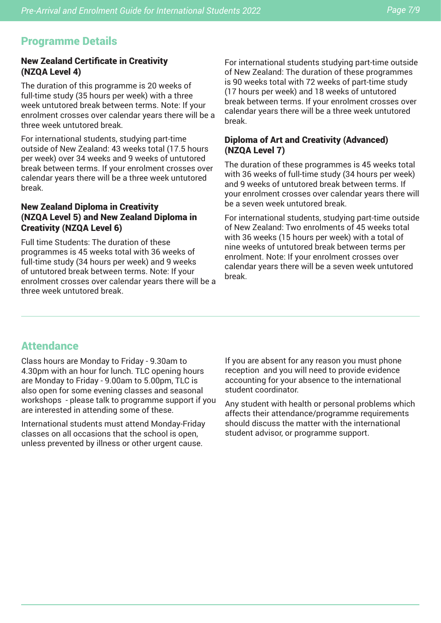# Programme Details

#### New Zealand Certificate in Creativity (NZQA Level 4)

The duration of this programme is 20 weeks of full-time study (35 hours per week) with a three week untutored break between terms. Note: If your enrolment crosses over calendar years there will be a three week untutored break.

For international students, studying part-time outside of New Zealand: 43 weeks total (17.5 hours per week) over 34 weeks and 9 weeks of untutored break between terms. If your enrolment crosses over calendar years there will be a three week untutored break.

#### New Zealand Diploma in Creativity (NZQA Level 5) and New Zealand Diploma in Creativity (NZQA Level 6)

Full time Students: The duration of these programmes is 45 weeks total with 36 weeks of full-time study (34 hours per week) and 9 weeks of untutored break between terms. Note: If your enrolment crosses over calendar years there will be a three week untutored break.

For international students studying part-time outside of New Zealand: The duration of these programmes is 90 weeks total with 72 weeks of part-time study (17 hours per week) and 18 weeks of untutored break between terms. If your enrolment crosses over calendar years there will be a three week untutored break.

#### Diploma of Art and Creativity (Advanced) (NZQA Level 7)

The duration of these programmes is 45 weeks total with 36 weeks of full-time study (34 hours per week) and 9 weeks of untutored break between terms. If your enrolment crosses over calendar years there will be a seven week untutored break.

For international students, studying part-time outside of New Zealand: Two enrolments of 45 weeks total with 36 weeks (15 hours per week) with a total of nine weeks of untutored break between terms per enrolment. Note: If your enrolment crosses over calendar years there will be a seven week untutored break.

# **Attendance**

Class hours are Monday to Friday - 9.30am to 4.30pm with an hour for lunch. TLC opening hours are Monday to Friday - 9.00am to 5.00pm, TLC is also open for some evening classes and seasonal workshops - please talk to programme support if you are interested in attending some of these.

International students must attend Monday-Friday classes on all occasions that the school is open, unless prevented by illness or other urgent cause.

If you are absent for any reason you must phone reception and you will need to provide evidence accounting for your absence to the international student coordinator.

Any student with health or personal problems which affects their attendance/programme requirements should discuss the matter with the international student advisor, or programme support.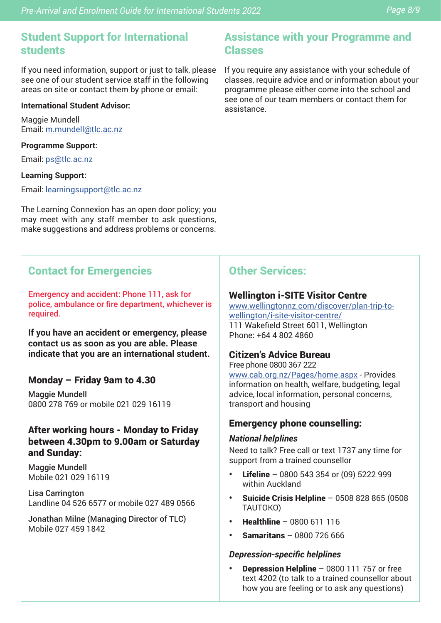If you need information, support or just to talk, please see one of our student service staff in the following areas on site or contact them by phone or email:

#### **International Student Advisor:**

Maggie Mundell Email: m.mundell@tlc.ac.nz

#### **Programme Support:**

Email: ps@tlc.ac.nz

#### **Learning Support:**

Email: learningsupport@tlc.ac.nz

The Learning Connexion has an open door policy; you may meet with any staff member to ask questions, make suggestions and address problems or concerns.

## Contact for Emergencies

Emergency and accident: Phone 111, ask for police, ambulance or fire department, whichever is required.

**If you have an accident or emergency, please contact us as soon as you are able. Please indicate that you are an international student.**

#### Monday – Friday 9am to 4.30

Maggie Mundell 0800 278 769 or mobile 021 029 16119

#### After working hours - Monday to Friday between 4.30pm to 9.00am or Saturday and Sunday:

Maggie Mundell Mobile 021 029 16119

Lisa Carrington Landline 04 526 6577 or mobile 027 489 0566

Jonathan Milne (Managing Director of TLC) Mobile 027 459 1842

## Assistance with your Programme and Classes

If you require any assistance with your schedule of classes, require advice and or information about your programme please either come into the school and see one of our team members or contact them for assistance.

## Other Services:

#### Wellington i-SITE Visitor Centre

www.wellingtonnz.com/discover/plan-trip-towellington/i-site-visitor-centre/ 111 Wakefield Street 6011, Wellington Phone: +64 4 802 4860

#### Citizen's Advice Bureau

Free phone 0800 367 222 www.cab.org.nz/Pages/home.aspx - Provides information on health, welfare, budgeting, legal advice, local information, personal concerns, transport and housing

#### Emergency phone counselling:

#### *National helplines*

Need to talk? Free call or text 1737 any time for support from a trained counsellor

- **•** Lifeline 0800 543 354 or (09) 5222 999 within Auckland
- **•** Suicide Crisis Helpline 0508 828 865 (0508 TAUTOKO)
- **•** Healthline 0800 611 116
- **•** Samaritans 0800 726 666

#### *Depression-specific helplines*

**•** Depression Helpline – 0800 111 757 or free text 4202 (to talk to a trained counsellor about how you are feeling or to ask any questions)